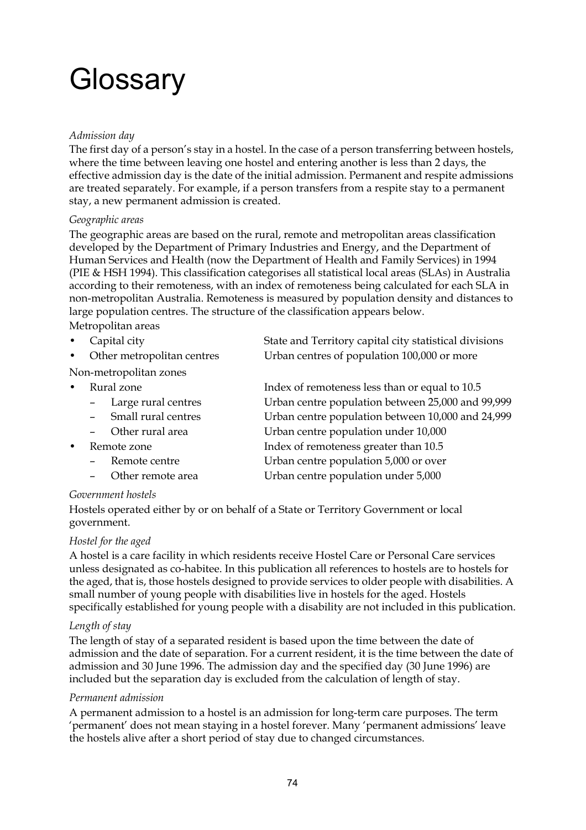# **Glossary**

## *Admission day*

The first day of a person's stay in a hostel. In the case of a person transferring between hostels, where the time between leaving one hostel and entering another is less than 2 days, the effective admission day is the date of the initial admission. Permanent and respite admissions are treated separately. For example, if a person transfers from a respite stay to a permanent stay, a new permanent admission is created.

#### *Geographic areas*

The geographic areas are based on the rural, remote and metropolitan areas classification developed by the Department of Primary Industries and Energy, and the Department of Human Services and Health (now the Department of Health and Family Services) in 1994 (PIE & HSH 1994). This classification categorises all statistical local areas (SLAs) in Australia according to their remoteness, with an index of remoteness being calculated for each SLA in non-metropolitan Australia. Remoteness is measured by population density and distances to large population centres. The structure of the classification appears below.

Metropolitan areas

Capital city **EXECUTE:** State and Territory capital city statistical divisions • Other metropolitan centres Urban centres of population 100,000 or more

Non-metropolitan zones

| $\bullet$ | Rural zone                   | Index of remoteness less than or equal to 10.5    |
|-----------|------------------------------|---------------------------------------------------|
|           | - Large rural centres        | Urban centre population between 25,000 and 99,999 |
|           | - Small rural centres        | Urban centre population between 10,000 and 24,999 |
|           | - Other rural area           | Urban centre population under 10,000              |
| $\bullet$ | Remote zone                  | Index of remoteness greater than 10.5             |
|           | $\blacksquare$ Remote centre | Urban centre population 5,000 or over             |

– Remote centre Urban centre population 5,000 or over Other remote area **Urban centre population under 5,000** 

## *Government hostels*

Hostels operated either by or on behalf of a State or Territory Government or local government.

#### *Hostel for the aged*

A hostel is a care facility in which residents receive Hostel Care or Personal Care services unless designated as co-habitee. In this publication all references to hostels are to hostels for the aged, that is, those hostels designed to provide services to older people with disabilities. A small number of young people with disabilities live in hostels for the aged. Hostels specifically established for young people with a disability are not included in this publication.

## *Length of stay*

The length of stay of a separated resident is based upon the time between the date of admission and the date of separation. For a current resident, it is the time between the date of admission and 30 June 1996. The admission day and the specified day (30 June 1996) are included but the separation day is excluded from the calculation of length of stay.

#### *Permanent admission*

A permanent admission to a hostel is an admission for long-term care purposes. The term 'permanent' does not mean staying in a hostel forever. Many 'permanent admissions' leave the hostels alive after a short period of stay due to changed circumstances.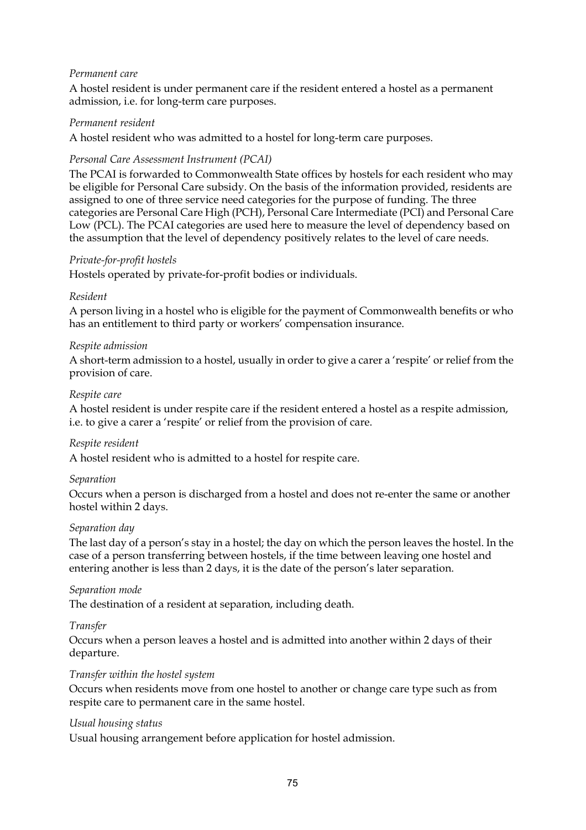## *Permanent care*

A hostel resident is under permanent care if the resident entered a hostel as a permanent admission, i.e. for long-term care purposes.

#### *Permanent resident*

A hostel resident who was admitted to a hostel for long-term care purposes.

#### *Personal Care Assessment Instrument (PCAI)*

The PCAI is forwarded to Commonwealth State offices by hostels for each resident who may be eligible for Personal Care subsidy. On the basis of the information provided, residents are assigned to one of three service need categories for the purpose of funding. The three categories are Personal Care High (PCH), Personal Care Intermediate (PCI) and Personal Care Low (PCL). The PCAI categories are used here to measure the level of dependency based on the assumption that the level of dependency positively relates to the level of care needs.

#### *Private-for-profit hostels*

Hostels operated by private-for-profit bodies or individuals.

#### *Resident*

A person living in a hostel who is eligible for the payment of Commonwealth benefits or who has an entitlement to third party or workers' compensation insurance.

#### *Respite admission*

A short-term admission to a hostel, usually in order to give a carer a 'respite' or relief from the provision of care.

#### *Respite care*

A hostel resident is under respite care if the resident entered a hostel as a respite admission, i.e. to give a carer a 'respite' or relief from the provision of care.

#### *Respite resident*

A hostel resident who is admitted to a hostel for respite care.

#### *Separation*

Occurs when a person is discharged from a hostel and does not re-enter the same or another hostel within 2 days.

#### *Separation day*

The last day of a person's stay in a hostel; the day on which the person leaves the hostel. In the case of a person transferring between hostels, if the time between leaving one hostel and entering another is less than 2 days, it is the date of the person's later separation.

#### *Separation mode*

The destination of a resident at separation, including death.

#### *Transfer*

Occurs when a person leaves a hostel and is admitted into another within 2 days of their departure.

#### *Transfer within the hostel system*

Occurs when residents move from one hostel to another or change care type such as from respite care to permanent care in the same hostel.

#### *Usual housing status*

Usual housing arrangement before application for hostel admission.